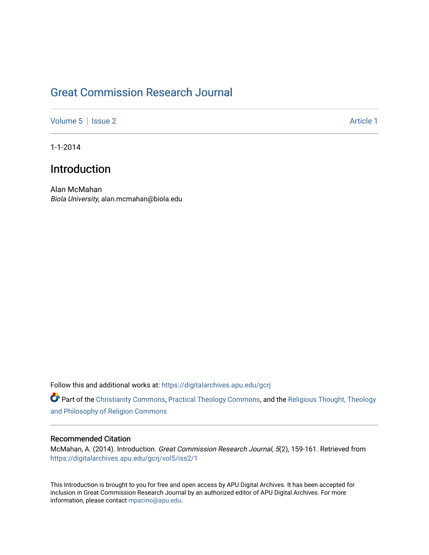# [Great Commission Research Journal](https://digitalarchives.apu.edu/gcrj)

[Volume 5](https://digitalarchives.apu.edu/gcrj/vol5) | [Issue 2](https://digitalarchives.apu.edu/gcrj/vol5/iss2) Article 1

1-1-2014

## Introduction

Alan McMahan Biola University, alan.mcmahan@biola.edu

Follow this and additional works at: [https://digitalarchives.apu.edu/gcrj](https://digitalarchives.apu.edu/gcrj?utm_source=digitalarchives.apu.edu%2Fgcrj%2Fvol5%2Fiss2%2F1&utm_medium=PDF&utm_campaign=PDFCoverPages) 

Part of the [Christianity Commons,](http://network.bepress.com/hgg/discipline/1181?utm_source=digitalarchives.apu.edu%2Fgcrj%2Fvol5%2Fiss2%2F1&utm_medium=PDF&utm_campaign=PDFCoverPages) [Practical Theology Commons](http://network.bepress.com/hgg/discipline/1186?utm_source=digitalarchives.apu.edu%2Fgcrj%2Fvol5%2Fiss2%2F1&utm_medium=PDF&utm_campaign=PDFCoverPages), and the [Religious Thought, Theology](http://network.bepress.com/hgg/discipline/544?utm_source=digitalarchives.apu.edu%2Fgcrj%2Fvol5%2Fiss2%2F1&utm_medium=PDF&utm_campaign=PDFCoverPages)  [and Philosophy of Religion Commons](http://network.bepress.com/hgg/discipline/544?utm_source=digitalarchives.apu.edu%2Fgcrj%2Fvol5%2Fiss2%2F1&utm_medium=PDF&utm_campaign=PDFCoverPages)

### Recommended Citation

McMahan, A. (2014). Introduction. Great Commission Research Journal, 5(2), 159-161. Retrieved from [https://digitalarchives.apu.edu/gcrj/vol5/iss2/1](https://digitalarchives.apu.edu/gcrj/vol5/iss2/1?utm_source=digitalarchives.apu.edu%2Fgcrj%2Fvol5%2Fiss2%2F1&utm_medium=PDF&utm_campaign=PDFCoverPages) 

This Introduction is brought to you for free and open access by APU Digital Archives. It has been accepted for inclusion in Great Commission Research Journal by an authorized editor of APU Digital Archives. For more information, please contact [mpacino@apu.edu](mailto:mpacino@apu.edu).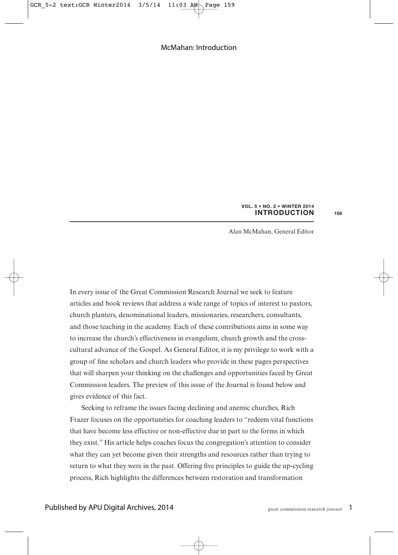#### **INTRODUCTION VOL. 5 • NO. 2 • WINTER 2014**

Alan McMahan, General Editor

In every issue of the Great Commission Research Journal we seek to feature articles and book reviews that address a wide range of topics of interest to pastors, church planters, denominational leaders, missionaries, researchers, consultants, and those teaching in the academy. Each of these contributions aims in some way to increase the church's effectiveness in evangelism, church growth and the crosscultural advance of the Gospel. As General Editor, it is my privilege to work with a group of fine scholars and church leaders who provide in these pages perspectives that will sharpen your thinking on the challenges and opportunities faced by Great Commission leaders. The preview of this issue of the Journal is found below and gives evidence of this fact.

Seeking to reframe the issues facing declining and anemic churches, Rich Frazer focuses on the opportunities for coaching leaders to "redeem vital functions that have become less effective or non-effective due in part to the forms in which they exist." His article helps coaches focus the congregation's attention to consider what they can yet become given their strengths and resources rather than trying to return to what they were in the past. Offering five principles to guide the up-cycling process, Rich highlights the differences between restoration and transformation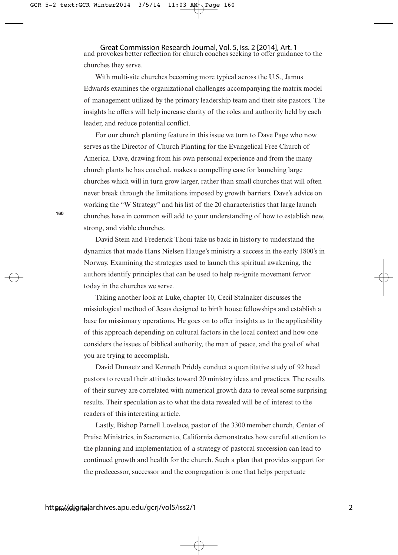Great Commission Research Journal, Vol. 5, Iss. 2 [2014], Art. 1<br>and provokes better reflection for church coaches seeking to offer guidance to the churches they serve.

With multi-site churches becoming more typical across the U.S., Jamus Edwards examines the organizational challenges accompanying the matrix model of management utilized by the primary leadership team and their site pastors. The insights he offers will help increase clarity of the roles and authority held by each leader, and reduce potential conflict.

For our church planting feature in this issue we turn to Dave Page who now serves as the Director of Church Planting for the Evangelical Free Church of America. Dave, drawing from his own personal experience and from the many church plants he has coached, makes a compelling case for launching large churches which will in turn grow larger, rather than small churches that will often never break through the limitations imposed by growth barriers. Dave's advice on working the "W Strategy" and his list of the 20 characteristics that large launch churches have in common will add to your understanding of how to establish new, strong, and viable churches.

David Stein and Frederick Thoni take us back in history to understand the dynamics that made Hans Nielsen Hauge's ministry a success in the early 1800's in Norway. Examining the strategies used to launch this spiritual awakening, the authors identify principles that can be used to help re-ignite movement fervor today in the churches we serve.

Taking another look at Luke, chapter 10, Cecil Stalnaker discusses the missiological method of Jesus designed to birth house fellowships and establish a base for missionary operations. He goes on to offer insights as to the applicability of this approach depending on cultural factors in the local context and how one considers the issues of biblical authority, the man of peace, and the goal of what you are trying to accomplish.

David Dunaetz and Kenneth Priddy conduct a quantitative study of 92 head pastors to reveal their attitudes toward 20 ministry ideas and practices. The results of their survey are correlated with numerical growth data to reveal some surprising results. Their speculation as to what the data revealed will be of interest to the readers of this interesting article.

Lastly, Bishop Parnell Lovelace, pastor of the 3300 member church, Center of Praise Ministries, in Sacramento, California demonstrates how careful attention to the planning and implementation of a strategy of pastoral succession can lead to continued growth and health for the church. Such a plan that provides support for the predecessor, successor and the congregation is one that helps perpetuate

**160**